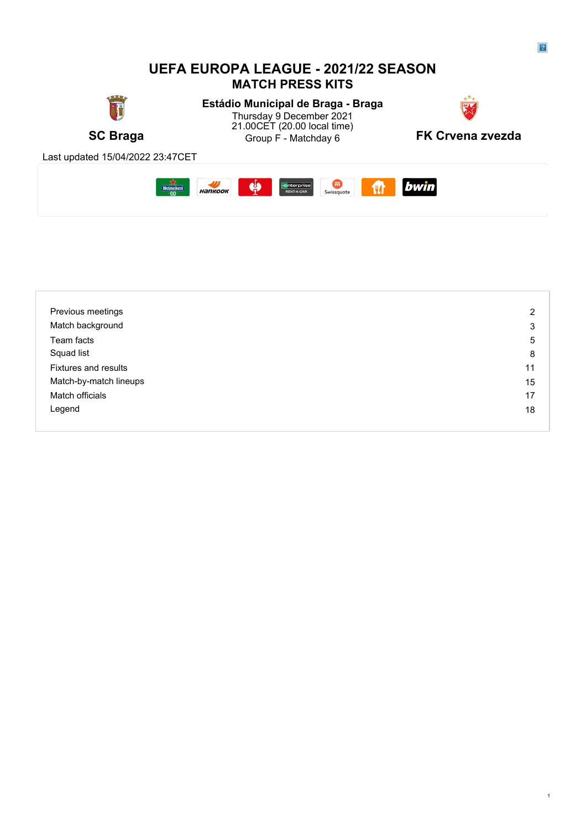#### **UEFA EUROPA LEAGUE - 2021/22 SEASON MATCH PRESS KITS** T **Estádio Municipal de Braga - Braga** Thursday 9 December 2021 **Thursday 9 December 2021** 21.00CET (20.00 local time) **SC Braga SC Braga SC Braga SC Braga SC Braga SC Braga SC Braga SC Braga SC Braga SC Braga SC Braga SC Braga SC Braga SC Braga SC Braga SC Braga SC Braga SC Braga SC Braga SC Braga S** Group F - Matchday 6 Last updated 15/04/2022 23:47CET **ft** bwin  $Heineken$ </u>  $\frac{1}{2}$  $\phi$ **Enterprise Container Swissquote**

| Previous meetings           | 2  |
|-----------------------------|----|
| Match background            | 3  |
| Team facts                  | 5  |
| Squad list                  | 8  |
| <b>Fixtures and results</b> | 11 |
| Match-by-match lineups      | 15 |
| Match officials             | 17 |
| Legend                      | 18 |
|                             |    |



 $\boxed{?}$ 

1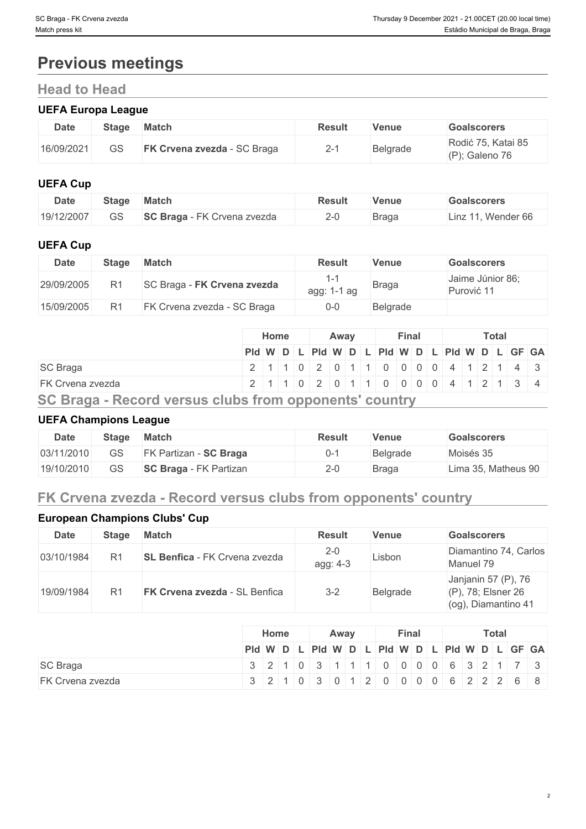# **Previous meetings**

# **Head to Head**

### **UEFA Europa League**

| <b>Date</b> | <b>Stage</b> | <b>Match</b>                       | Result   | Venue    | Goalscorers                          |
|-------------|--------------|------------------------------------|----------|----------|--------------------------------------|
| 16/09/2021  | GS           | <b>FK Crvena zvezda - SC Braga</b> | <u>_</u> | Belgrade | Rodić 75, Katai 85<br>(P); Galeno 76 |

# **UEFA Cup**

| <b>Date</b> | <b>Stage</b> | Match                              | Result | Venue        | Goalscorers            |
|-------------|--------------|------------------------------------|--------|--------------|------------------------|
| 19/12/2007  | 55           | <b>SC Braga</b> - FK Crvena zvezda |        | <b>Braga</b> | . Wender 66<br>⊥inz 11 |

# **UEFA Cup**

| <b>Date</b> | Stage | <b>Match</b>                | <b>Result</b> | <b>Venue</b> | <b>Goalscorers</b>             |
|-------------|-------|-----------------------------|---------------|--------------|--------------------------------|
| 29/09/2005  |       | SC Braga - FK Crvena zvezda | agg: 1-1 ag   | <b>Braga</b> | Jaime Júnior 86;<br>Purović 11 |
| 15/09/2005  |       | FK Crvena zvezda - SC Braga | $0-0$         | Belgrade     |                                |

|                                                        | <b>Home</b><br>Away |  |                                                         |  |  |  |  | Final |  |  | <b>Total</b> |  |  |
|--------------------------------------------------------|---------------------|--|---------------------------------------------------------|--|--|--|--|-------|--|--|--------------|--|--|
|                                                        |                     |  | Pid W D L Pid W D L Pid W D L Pid W D L Pid W D L GF GA |  |  |  |  |       |  |  |              |  |  |
| <b>SC Braga</b>                                        |                     |  | 2 1 1 0 2 0 1 1 0 0 0 0 4 1 2 1 4 3                     |  |  |  |  |       |  |  |              |  |  |
| <b>FK Crvena zvezda</b>                                |                     |  | 2 1 1 0 2 0 1 1 0 0 0 0 4 1 2 1 3 4                     |  |  |  |  |       |  |  |              |  |  |
| SC Braga - Record versus clubs from opponents' country |                     |  |                                                         |  |  |  |  |       |  |  |              |  |  |

# **UEFA Champions League**

| <b>Date</b> | <b>Stage</b> | <b>Match</b>                  | <b>Result</b> | Venue           | <b>Goalscorers</b>  |
|-------------|--------------|-------------------------------|---------------|-----------------|---------------------|
| 03/11/2010  | GS           | <b>FK Partizan - SC Braga</b> | 0-1           | <b>Belgrade</b> | Moisés 35           |
| 19/10/2010  | GS           | <b>SC Braga</b> - FK Partizan | $2 - C$       | Braga           | Lima 35, Matheus 90 |

# **FK Crvena zvezda - Record versus clubs from opponents' country**

#### **European Champions Clubs' Cup Date Stage Match Result Venue Goalscorers** 03/10/1984 [R1](https://www.uefa.com/uefachampionsleague/season=1984/matches/round=1039/index.html) **[SL Benfica](https://www.uefa.com/uefachampionsleague/season=1984/clubs/club=50147/index.html)** - [FK Crvena zvezda](https://www.uefa.com/uefachampionsleague/season=1984/clubs/club=50069/index.html)  $\begin{array}{c} 2-0 \\ \text{agg: } 4-3 \end{array}$  $\begin{array}{c} 2-0 \\ \text{agg: } 4-3 \end{array}$  $\begin{array}{c} 2-0 \\ \text{agg: } 4-3 \end{array}$  Lisbon Diamantino 74, Carlos 2-0 Lisbon Diamantino 74, Carlos<br>agg: 4-3 Lisbon Manuel 79 Manuel 79 19/09/1984 [R1](https://www.uefa.com/uefachampionsleague/season=1984/matches/round=1039/index.html) **[FK Crvena zvezda](https://www.uefa.com/uefachampionsleague/season=1984/clubs/club=50069/index.html)** - [SL Benfica](https://www.uefa.com/uefachampionsleague/season=1984/clubs/club=50147/index.html) [3-2](https://www.uefa.com/uefachampionsleague/season=1984/matches/round=1039/match=63898/index.html) Belgrade Janjanin 57 (P), 76 (P), 78; Elsner 26 (og), Diamantino 41

|                         | Home | Away | Final | <b>Total</b>                                                                    |  |  |  |  |  |
|-------------------------|------|------|-------|---------------------------------------------------------------------------------|--|--|--|--|--|
|                         |      |      |       | $ P d W D L P d W D L P d W D L P d W D L GF GA $                               |  |  |  |  |  |
| SC Braga                |      |      |       | $3 \ 2 \ 1 \ 0 \ 3 \ 1 \ 1 \ 1 \ 0 \ 0 \ 0 \ 0 \ 0 \ 6 \ 3 \ 2 \ 1 \ 7 \ 3 \ 1$ |  |  |  |  |  |
| <b>FK Crvena zvezda</b> |      |      |       | 3 2 1 0 3 0 1 2 0 0 0 0 6 2 2 2 6 8                                             |  |  |  |  |  |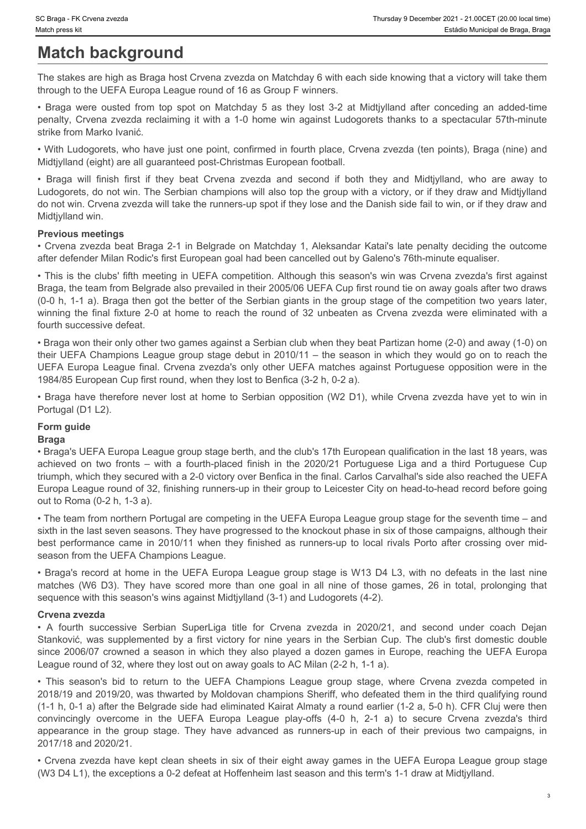# **Match background**

The stakes are high as Braga host Crvena zvezda on Matchday 6 with each side knowing that a victory will take them through to the UEFA Europa League round of 16 as Group F winners.

penalty, Crvena zvezda reclaiming it with a 1-0 home win against Ludogorets thanks to a spectacular 57th-minute strike from Marko Ivanić.

• With Ludogorets, who have just one point, confirmed in fourth place, Crvena zvezda (ten points), Braga (nine) and Midtjylland (eight) are all guaranteed post-Christmas European football.

Frumsday 9 December 2021 - 21:00CET (20:00 local time)<br>
Match press kit<br>
Estable Municipal de Braga, Braga<br>
Thre stables are high as Braga host Crvena zvezda on Matchday 6 with each side knowing that a victory will take th • Braga • FK Civena zvezda<br>• Braga • FK Civena zvezda<br>• Braga will finish first if they beat Crvena zvezda on Matchday 6 with each side knowing that a victory will take them<br>• Braga were ousted from top spot on Matchday 6 Ludogorets, do not win. The Serbian champions will also top the group with a victory, or if they draw and Midtjylland do not win. Crvena zvezda will take the runners-up spot if they lose and the Danish side fail to win, or if they draw and Midtjylland win.

### **Previous meetings**

• Crvena zvezda beat Braga 2-1 in Belgrade on Matchday 1, Aleksandar Katai's late penalty deciding the outcome after defender Milan Rodic's first European goal had been cancelled out by Galeno's 76th-minute equaliser.

• This is the clubs' fifth meeting in UEFA competition. Although this season's win was Crvena zvezda's first against Braga, the team from Belgrade also prevailed in their 2005/06 UEFA Cup first round tie on away goals after two draws (0-0 h, 1-1 a). Braga then got the better of the Serbian giants in the group stage of the competition two years later, winning the final fixture 2-0 at home to reach the round of 32 unbeaten as Crvena zvezda were eliminated with a fourth successive defeat.

• Braga won their only other two games against a Serbian club when they beat Partizan home (2-0) and away (1-0) on their UEFA Champions League group stage debut in 2010/11 – the season in which they would go on to reach the UEFA Europa League final. Crvena zvezda's only other UEFA matches against Portuguese opposition were in the 1984/85 European Cup first round, when they lost to Benfica (3-2 h, 0-2 a).

• Braga have therefore never lost at home to Serbian opposition (W2 D1), while Crvena zvezda have yet to win in Portugal (D1 L2).

# **Form guide**

#### **Braga**

• Braga's UEFA Europa League group stage berth, and the club's 17th European qualification in the last 18 years, was action is those seems<br>
Maddel **Dackground**<br>
The stations being to form a fourth-place on the 2016 per Kenneth side boowing that a victory will take then<br>
The stations exist higher stations are considered finish in the 2020 triumph, which they secured with a 2-0 victory over Benfica in the final. Carlos Carvalhal's side also reached the UEFA Europa League round of 32, finishing runners-up in their group to Leicester City on head-to-head record before going out to Roma (0-2 h, 1-3 a). The states are high as Blogga hoat Covena zwezda on Matchcay 6 with each side two-wing that a victory in the 2010 matchcay in 2010/11 when the side of the Si Cover How finished as runners-up to the Si Cover to the Si Cover - Ranga were coalist from the passion of Molehary 5 as Rey lies 3 at Midgilbood after convening an added from<br>Penalty, Creens zweeds receiving the while 1-5 handel wind place Crosses are second more than one goal in points

• The team from northern Portugal are competing in the UEFA Europa League group stage for the seventh time – and sixth in the last seven seasons. They have progressed to the knockout phase in six of those campaigns, although their season from the UEFA Champions League.

• Braga's record at home in the UEFA Europa League group stage is W13 D4 L3, with no defeats in the last nine sequence with this season's wins against Midtjylland (3-1) and Ludogorets (4-2).

#### **Crvena zvezda**

since 2006/07 crowned a season in which they also played a dozen games in Europe, reaching the UEFA Europa League round of 32, where they lost out on away goals to AC Milan (2-2 h, 1-1 a).

• With interactions, who have just be one paid conformed in furth place. Overa *news to* it from the methods interaction and the cryen and the cryen with successive Super Liga time in 2020/201, and second in the second wit Miniman (egen) and all quara-mental particles positivity and the serbian controlls of the other orients are all the serbian changes will also to by the propositivity of the serbian Cup. The Serbian Cup and Ministra Cup and o o covinc. Creans avecds will take the runners-up sport frey lose and the Uanith side fail to win, or frey draw and<br>Photogram meetings 2.1 in Bidgrade on Matchiesy 1, Aleksandar Katalis bits particip the UEFA Champions Co 2018/19 and 2019/20, was thwarted by Moldovan champions Sheriff, who defeated them in the third qualifying round (1-1 h, 0-1 a) after the Belgrade side had eliminated Kairat Almaty a round earlier (1-2 a, 5-0 h). CFR Cluj were then Convincions is formal control of the UEFA Europa League play-of in the UEFA Europa League play-of the UEFA Europa League play-offs (4-0 h, 2-1 a) to secure a recompt when the UEFA European System and the UEFA Computer of t after collection interaction the group stage. The base of the group stage is the group stage. The model of the group stage is the group stage. The first coupling the group stage is the group stage. The group stage is the g 2017/18 and 2020/21.

• Crvena zvezda have kept clean sheets in six of their eight away games in the UEFA Europa League group stage (W3 D4 L1), the exceptions a 0-2 defeat at Hoffenheim last season and this term's 1-1 draw at Midtjylland.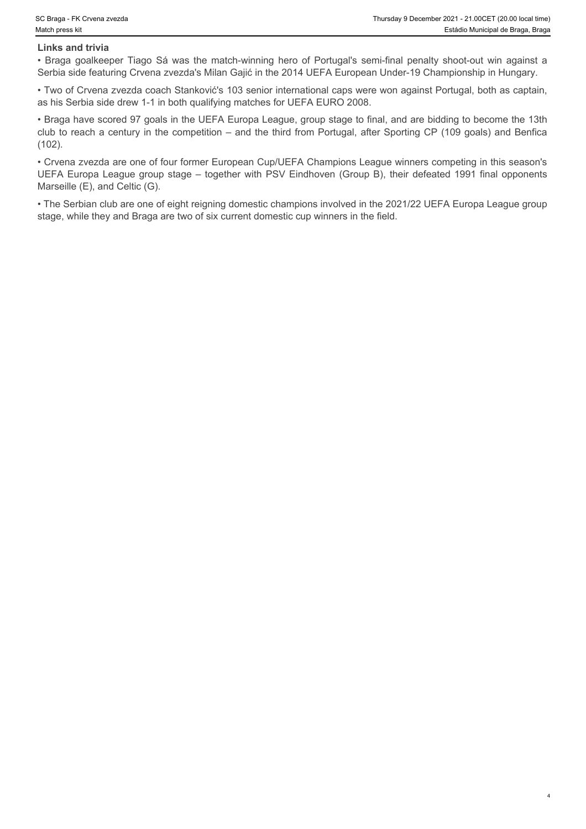#### **Links and trivia**

Serbia side featuring Crvena zvezda's Milan Gajić in the 2014 UEFA European Under-19 Championship in Hungary.

• Two of Crvena zvezda coach Stanković's 103 senior international caps were won against Portugal, both as captain, as his Serbia side drew 1-1 in both qualifying matches for UEFA EURO 2008.

For Changa - FK Crvena zvezda<br> **Estadio Municipal de Braga, Braga**<br> **Estadio Municipal de Braga, Braga**<br>
• Braga goalkeeper Tiago Sá was the match-winning hero of Portugal's semi-final penalty shoot-out win against a<br>
• Br • Braga have scored 97 goals in the UEFA Europa League, group stage to final, and are bidding to become the 13th club to reach a century in the competition – and the third from Portugal, after Sporting CP (109 goals) and Benfica (102).

• Crvena zvezda are one of four former European Cup/UEFA Champions League winners competing in this season's UEFA Europa League group stage – together with PSV Eindhoven (Group B), their defeated 1991 final opponents Marseille (E), and Celtic (G).

• The Serbian club are one of eight reigning domestic champions involved in the 2021/22 UEFA Europa League group stage, while they and Braga are two of six current domestic cup winners in the field.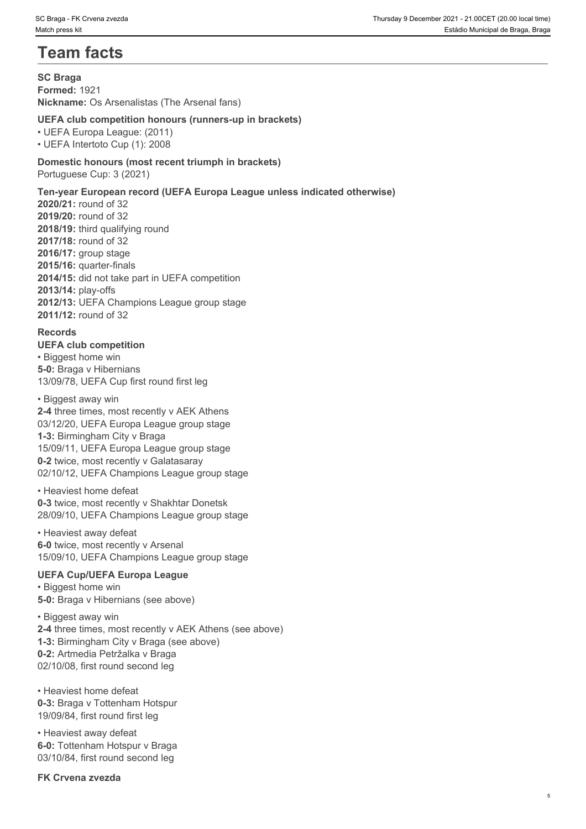# **Team facts**

**SC Braga Formed:** 1921 **Nickname:** Os Arsenalistas (The Arsenal fans)

### **UEFA club competition honours (runners-up in brackets)**

• UEFA Europa League: (2011) • UEFA Intertoto Cup (1): 2008

**Domestic honours (most recent triumph in brackets)** Portuguese Cup: 3 (2021)

## **Ten-year European record (UEFA Europa League unless indicated otherwise)**

**2020/21:** round of 32 **2019/20:** round of 32 **2018/19:** third qualifying round **2017/18:** round of 32 **2016/17:** group stage **2015/16:** quarter-finals **2014/15:** did not take part in UEFA competition **2013/14:** play-offs **2012/13:** UEFA Champions League group stage **2011/12:** round of 32

### **Records**

**UEFA club competition** • Biggest home win **5-0:** Braga v Hibernians 13/09/78, UEFA Cup first round first leg

• Biggest away win **2-4** three times, most recently v AEK Athens 03/12/20, UEFA Europa League group stage **1-3:** Birmingham City v Braga 15/09/11, UEFA Europa League group stage

**0-2** twice, most recently v Galatasaray 02/10/12, UEFA Champions League group stage

• Heaviest home defeat **0-3** twice, most recently v Shakhtar Donetsk 28/09/10, UEFA Champions League group stage

• Heaviest away defeat **6-0** twice, most recently v Arsenal 15/09/10, UEFA Champions League group stage

# **UEFA Cup/UEFA Europa League**

• Biggest home win **5-0:** Braga v Hibernians (see above)

• Biggest away win **2-4** three times, most recently v AEK Athens (see above) **1-3:** Birmingham City v Braga (see above) **0-2:** Artmedia Petržalka v Braga 02/10/08, first round second leg

• Heaviest home defeat **0-3:** Braga v Tottenham Hotspur 19/09/84, first round first leg

• Heaviest away defeat **6-0:** Tottenham Hotspur v Braga 03/10/84, first round second leg

**FK Crvena zvezda**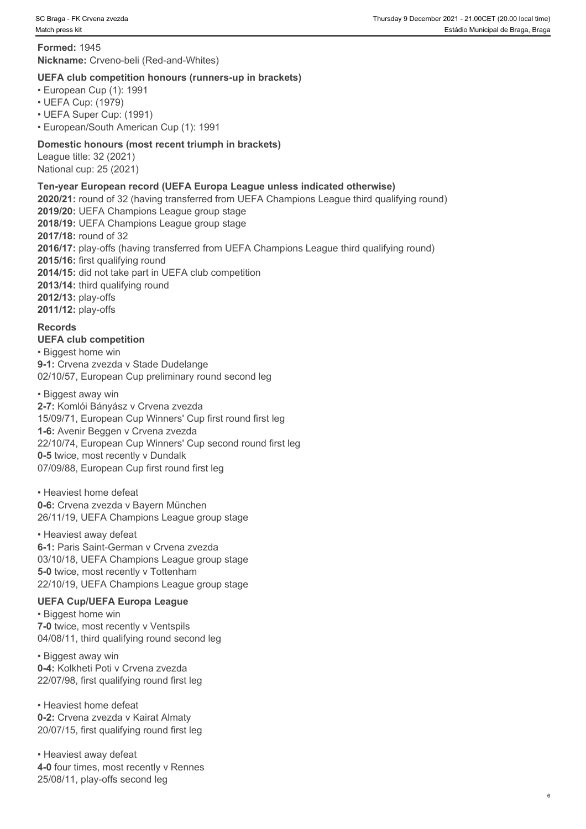**Formed:** 1945 **Nickname:** Crveno-beli (Red-and-Whites)

#### **UEFA club competition honours (runners-up in brackets)**

• European Cup (1): 1991

• UEFA Cup: (1979)

• UEFA Super Cup: (1991)

• European/South American Cup (1): 1991

#### **Domestic honours (most recent triumph in brackets)**

League title: 32 (2021) National cup: 25 (2021)

#### **Ten-year European record (UEFA Europa League unless indicated otherwise)**

**2020/21:** round of 32 (having transferred from UEFA Champions League third qualifying round) **2019/20:** UEFA Champions League group stage **2018/19:** UEFA Champions League group stage **2017/18:** round of 32 **2016/17:** play-offs (having transferred from UEFA Champions League third qualifying round) **2015/16:** first qualifying round **2014/15:** did not take part in UEFA club competition **2013/14:** third qualifying round **2012/13:** play-offs **2011/12:** play-offs

#### **Records**

**UEFA club competition**  • Biggest home win **9-1:** Crvena zvezda v Stade Dudelange 02/10/57, European Cup preliminary round second leg

#### • Biggest away win

**2-7:** Komlói Bányász v Crvena zvezda 15/09/71, European Cup Winners' Cup first round first leg **1-6:** Avenir Beggen v Crvena zvezda 22/10/74, European Cup Winners' Cup second round first leg **0-5** twice, most recently v Dundalk 07/09/88, European Cup first round first leg

• Heaviest home defeat **0-6:** Crvena zvezda v Bayern München 26/11/19, UEFA Champions League group stage

• Heaviest away defeat **6-1:** Paris Saint-German v Crvena zvezda 03/10/18, UEFA Champions League group stage **5-0** twice, most recently v Tottenham

22/10/19, UEFA Champions League group stage

#### **UEFA Cup/UEFA Europa League**

• Biggest home win **7-0** twice, most recently v Ventspils 04/08/11, third qualifying round second leg

• Biggest away win **0-4:** Kolkheti Poti v Crvena zvezda 22/07/98, first qualifying round first leg

• Heaviest home defeat **0-2:** Crvena zvezda v Kairat Almaty 20/07/15, first qualifying round first leg

• Heaviest away defeat **4-0** four times, most recently v Rennes 25/08/11, play-offs second leg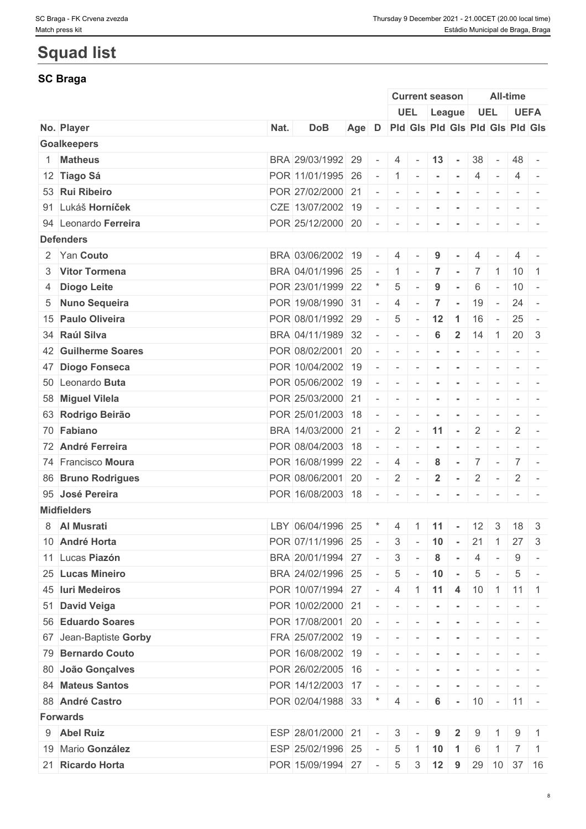# **Squad list**

# **SC Braga**

|                        |      |                                                              |                                       |                |                 | <b>Current season</b>                                                                                                                                                                                                                                                                                                                                                                                                           |                |                                    |                          | All-time                 |                |                |
|------------------------|------|--------------------------------------------------------------|---------------------------------------|----------------|-----------------|---------------------------------------------------------------------------------------------------------------------------------------------------------------------------------------------------------------------------------------------------------------------------------------------------------------------------------------------------------------------------------------------------------------------------------|----------------|------------------------------------|--------------------------|--------------------------|----------------|----------------|
|                        |      |                                                              |                                       |                |                 |                                                                                                                                                                                                                                                                                                                                                                                                                                 |                | UEL League                         |                          | <b>UEL</b>               | <b>UEFA</b>    |                |
| No. Player             | Nat. | <b>DoB</b>                                                   | Age D Pld Gis Pld Gis Pld Gis Pld Gis |                |                 |                                                                                                                                                                                                                                                                                                                                                                                                                                 |                |                                    |                          |                          |                |                |
| <b>Goalkeepers</b>     |      |                                                              |                                       |                |                 |                                                                                                                                                                                                                                                                                                                                                                                                                                 |                |                                    |                          |                          |                |                |
| 1 Matheus              |      | BRA 29/03/1992 29                                            |                                       | $\sim$         |                 | $4 - 13 -$                                                                                                                                                                                                                                                                                                                                                                                                                      |                |                                    | 38                       | $\sim$                   | 48 -           |                |
| 12 Tiago Sá            |      | POR 11/01/1995 26                                            |                                       | $\sim$         |                 | $1 - 1$                                                                                                                                                                                                                                                                                                                                                                                                                         |                | $\sim$                             | 4                        | $\sim$                   |                | $4 -$          |
| 53 Rui Ribeiro         |      | POR 27/02/2000 21                                            |                                       | $\sim$         | $\sim$          | $\sim$                                                                                                                                                                                                                                                                                                                                                                                                                          |                |                                    |                          |                          |                |                |
| 91 Lukáš Horníček      |      | CZE 13/07/2002 19                                            |                                       | $\sim$         | $\sim$          | $\sim$                                                                                                                                                                                                                                                                                                                                                                                                                          | $\sim$         |                                    |                          |                          |                |                |
| 94 Leonardo Ferreira   |      | POR 25/12/2000 20                                            |                                       | $\sim$         |                 |                                                                                                                                                                                                                                                                                                                                                                                                                                 | $\sim$         | $\sim$                             | $\overline{\phantom{a}}$ | $\overline{\phantom{a}}$ |                |                |
| <b>Defenders</b>       |      |                                                              |                                       |                |                 |                                                                                                                                                                                                                                                                                                                                                                                                                                 |                |                                    |                          |                          |                |                |
| 2 Yan Couto            |      | BRA 03/06/2002 19                                            |                                       | $\sim$         | 4               |                                                                                                                                                                                                                                                                                                                                                                                                                                 | 9              |                                    |                          |                          |                |                |
| 3 Vitor Tormena        |      | BRA 04/01/1996 25                                            |                                       | $\sim$         | $1 -$           |                                                                                                                                                                                                                                                                                                                                                                                                                                 | $\overline{7}$ | <b>Contract</b>                    |                          | 7 1                      | $10 \mid 1$    |                |
| 4 Diogo Leite          |      | POR 23/01/1999 22                                            |                                       |                | 5               |                                                                                                                                                                                                                                                                                                                                                                                                                                 | 9              |                                    | 6                        | $\sim$                   | $10 -$         |                |
| 5 Nuno Sequeira        |      | POR 19/08/1990 31                                            |                                       | $\sim$         | $\overline{4}$  | $\sim$                                                                                                                                                                                                                                                                                                                                                                                                                          | $\overline{7}$ | $\sim$                             | 19                       | $\sim$                   | $24 -$         |                |
| 15 Paulo Oliveira      |      | POR 08/01/1992 29                                            |                                       | $\overline{a}$ | $5\overline{)}$ | $\sim$                                                                                                                                                                                                                                                                                                                                                                                                                          | $12 \mid 1$    |                                    | 16                       | $\sim$                   | $25 -$         |                |
| 34 Raúl Silva          |      | BRA 04/11/1989 32                                            |                                       | $\sim$         | $\sim$          | $\sim$                                                                                                                                                                                                                                                                                                                                                                                                                          | 6              | $\overline{2}$                     | 14                       | $\overline{1}$           | $20 \mid 3$    |                |
| 42 Guilherme Soares    |      | POR 08/02/2001 20                                            |                                       | $\sim$         | $\sim$          | $\sim$                                                                                                                                                                                                                                                                                                                                                                                                                          |                |                                    |                          |                          |                |                |
| 47 Diogo Fonseca       |      | POR 10/04/2002 19                                            |                                       | $\sim$         | $\sim$          | $\sim$                                                                                                                                                                                                                                                                                                                                                                                                                          | $\sim$         | $\sim$                             | $\sim$                   | $\sim$                   |                |                |
| 50 Leonardo Buta       |      | POR 05/06/2002 19                                            |                                       | $\sim$         |                 | $\label{eq:2.1} \begin{array}{c c c c c c c} \hline \textbf{a} & \textbf{b} & \textbf{c} & \textbf{c} & \textbf{c} \\ \hline \textbf{a} & \textbf{b} & \textbf{c} & \textbf{c} & \textbf{c} & \textbf{c} \\ \hline \textbf{a} & \textbf{b} & \textbf{c} & \textbf{c} & \textbf{c} & \textbf{c} \\ \hline \textbf{a} & \textbf{b} & \textbf{c} & \textbf{c} & \textbf{c} & \textbf{c} & \textbf{c} \\ \hline \textbf{a} & \text$ |                | $\sim$                             | $\overline{\phantom{a}}$ |                          | $ -$           |                |
| 58 Miguel Vilela       |      | POR 25/03/2000 21                                            |                                       | $\sim$         | $\sim$          | $\sim$                                                                                                                                                                                                                                                                                                                                                                                                                          |                |                                    |                          |                          |                |                |
| 63 Rodrigo Beirão      |      | POR 25/01/2003 18                                            |                                       | $\sim$         | $\sim$          | $\sim$                                                                                                                                                                                                                                                                                                                                                                                                                          |                |                                    |                          |                          |                |                |
| 70 Fabiano             |      | BRA 14/03/2000 21                                            |                                       | $\sim$         |                 | $2 - 11$                                                                                                                                                                                                                                                                                                                                                                                                                        |                | $\sim$                             | $\overline{2}$           | $\sim$                   | $\mathbf{2}$   | $\sim$         |
| 72 André Ferreira      |      | POR 08/04/2003 18                                            |                                       |                |                 |                                                                                                                                                                                                                                                                                                                                                                                                                                 |                |                                    |                          |                          |                |                |
|                        |      |                                                              |                                       | $\sim$         | $\sim$          | $\sim$                                                                                                                                                                                                                                                                                                                                                                                                                          | $\sim$         |                                    | $\overline{\phantom{a}}$ | $\sim$                   |                |                |
| 74 Francisco Moura     |      | POR 16/08/1999 22                                            |                                       | $\sim$         | 4               | $\sim$                                                                                                                                                                                                                                                                                                                                                                                                                          | 8              | $\sim$                             | 7                        | $\sim$                   | 7 <sup>1</sup> |                |
| 86 Bruno Rodrigues     |      | POR 08/06/2001 20                                            |                                       | $\sim$         | $2$ -           |                                                                                                                                                                                                                                                                                                                                                                                                                                 | $\overline{2}$ | $\sim$                             | $2$ -                    |                          | $\overline{2}$ |                |
| 95 José Pereira        |      | POR 16/08/2003 18                                            |                                       | $\sim$         | $\sim$          | $\overline{\phantom{a}}$                                                                                                                                                                                                                                                                                                                                                                                                        |                |                                    |                          |                          |                |                |
| <b>Midfielders</b>     |      |                                                              |                                       |                |                 |                                                                                                                                                                                                                                                                                                                                                                                                                                 |                |                                    |                          |                          |                |                |
| 8 Al Musrati           |      | LBY 06/04/1996 25                                            |                                       | $\star$        | $\overline{4}$  |                                                                                                                                                                                                                                                                                                                                                                                                                                 |                | $111 -$                            | $12 \quad 3$             |                          | 18             | $\overline{3}$ |
| 10 André Horta         |      | POR 07/11/1996 25                                            |                                       | $\sim$         |                 |                                                                                                                                                                                                                                                                                                                                                                                                                                 |                | $3 - 10 - 21$                      |                          | $\vert$ 1                | $27 \quad 3$   |                |
| 11 Lucas Piazón        |      | BRA 20/01/1994 27                                            |                                       | $\sim$         | 3               | $\sim$                                                                                                                                                                                                                                                                                                                                                                                                                          | 8              |                                    | 4                        |                          | 9              |                |
| 25 Lucas Mineiro       |      | BRA 24/02/1996 25                                            |                                       | $\sim$ $ \sim$ | $5\overline{)}$ | $\sim$                                                                                                                                                                                                                                                                                                                                                                                                                          | $10 -$         |                                    | $5\overline{)}$          | $\sim$                   | 5              | $\sim$         |
| 45 Iuri Medeiros       |      | POR 10/07/1994 27                                            |                                       | $\sim$ $-$     |                 |                                                                                                                                                                                                                                                                                                                                                                                                                                 |                | $4$   1   11   4   10   1   11   1 |                          |                          |                |                |
| 51 David Veiga         |      | POR 10/02/2000 21                                            |                                       | $\sim$         | $\sim$          | $\sim$                                                                                                                                                                                                                                                                                                                                                                                                                          |                |                                    |                          |                          |                |                |
| 56 Eduardo Soares      |      | POR 17/08/2001 20                                            |                                       | $\sim$         | $\sim$          | $\sim$                                                                                                                                                                                                                                                                                                                                                                                                                          |                |                                    |                          |                          |                |                |
| 67 Jean-Baptiste Gorby |      | $FRA$ 25/07/2002 19 - -                                      |                                       |                |                 |                                                                                                                                                                                                                                                                                                                                                                                                                                 | $\sim$         | $\sim$                             |                          |                          |                |                |
| 79 Bernardo Couto      |      | POR 16/08/2002 19                                            |                                       | $\sim$         | $\sim$ $-$      | $\sim$                                                                                                                                                                                                                                                                                                                                                                                                                          |                | $\sim$                             | $\sim$                   |                          |                |                |
| 80 João Gonçalves      |      | POR 26/02/2005 16                                            |                                       | $\sim$         |                 |                                                                                                                                                                                                                                                                                                                                                                                                                                 |                |                                    |                          |                          |                |                |
| 84 Mateus Santos       |      | POR 14/12/2003 17                                            |                                       |                |                 | $\mathbf{r}$                                                                                                                                                                                                                                                                                                                                                                                                                    | $\sim$         | $\sim$                             | $\overline{\phantom{a}}$ |                          |                |                |
| 88 André Castro        |      | POR 02/04/1988 33 $\mid$ *   4   -   6   -   10   -   11   - |                                       |                |                 |                                                                                                                                                                                                                                                                                                                                                                                                                                 |                |                                    |                          |                          |                |                |
| <b>Forwards</b>        |      |                                                              |                                       |                |                 |                                                                                                                                                                                                                                                                                                                                                                                                                                 |                |                                    |                          |                          |                |                |
| 9 Abel Ruiz            |      | ESP 28/01/2000 21                                            |                                       | $\sim$         | 3               |                                                                                                                                                                                                                                                                                                                                                                                                                                 | 9              | $\mathbf{2}$                       | 9                        |                          | 9              |                |
| 19 Mario González      |      | ESP 25/02/1996 25                                            |                                       | $\sim$         | 5               | $\vert$ 1                                                                                                                                                                                                                                                                                                                                                                                                                       | $10$ 1         |                                    | 6                        | $\overline{1}$           | $7 \mid 1$     |                |
| 21 Ricardo Horta       |      | POR 15/09/1994 27                                            |                                       | $\sim$         |                 | $5 \quad 3$                                                                                                                                                                                                                                                                                                                                                                                                                     | $12$ 9         |                                    |                          | 29 10 37 16              |                |                |
|                        |      |                                                              |                                       |                |                 |                                                                                                                                                                                                                                                                                                                                                                                                                                 |                |                                    |                          |                          |                |                |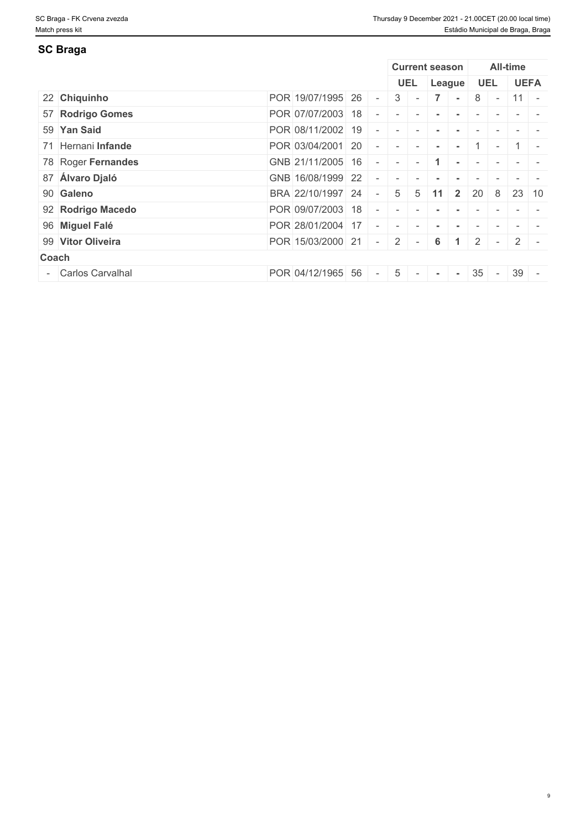# **SC Braga**

|                    |                   |    |                          |               |                          | <b>Current season</b> |              |                |               | All-time    |             |
|--------------------|-------------------|----|--------------------------|---------------|--------------------------|-----------------------|--------------|----------------|---------------|-------------|-------------|
|                    |                   |    |                          |               | <b>UEL</b>               | League                |              |                | <b>UEL</b>    |             | <b>UEFA</b> |
| 22 Chiquinho       | POR 19/07/1995 26 |    | $\sim$                   |               | $3 -$                    |                       |              | 8 <sup>1</sup> | $\sim$        | 11          | $\sim$      |
| 57 Rodrigo Gomes   | POR 07/07/2003 18 |    | $\overline{\phantom{a}}$ |               |                          |                       |              |                |               |             |             |
| 59 Yan Said        | POR 08/11/2002 19 |    |                          |               |                          |                       |              |                |               |             |             |
| 71 Hernani Infande | POR 03/04/2001 20 |    | $\sim$                   | $\sim$ $\sim$ | $\sim$                   | $\sim$                |              |                | $\sim$        |             |             |
| 78 Roger Fernandes | GNB 21/11/2005 16 |    | $\sim$                   |               |                          |                       |              |                |               |             |             |
| 87 Álvaro Djaló    | GNB 16/08/1999 22 |    |                          |               |                          |                       |              |                |               |             |             |
| 90 Galeno          | BRA 22/10/1997 24 |    | $\overline{a}$           |               | $5 \quad 5$              | -11                   | $\mathbf{2}$ | 20             | 8             | 23          | -10         |
| 92 Rodrigo Macedo  | POR 09/07/2003 18 |    | $\sim$                   |               |                          |                       |              |                |               |             |             |
| 96 Miguel Falé     | POR 28/01/2004    | 17 |                          |               |                          |                       |              |                |               |             |             |
| 99 Vitor Oliveira  | POR 15/03/2000 21 |    | $\sim$                   |               | $2$ -                    | 6 <sup>1</sup>        |              | $\overline{2}$ | $\sim$        | $2^{\circ}$ |             |
| Coach              |                   |    |                          |               |                          |                       |              |                |               |             |             |
| - Carlos Carvalhal | POR 04/12/1965 56 |    | $\sim$                   | $5-1$         | $\overline{\phantom{a}}$ |                       | $\sim$       | 35             | $\sim$ $\sim$ | $39 -$      |             |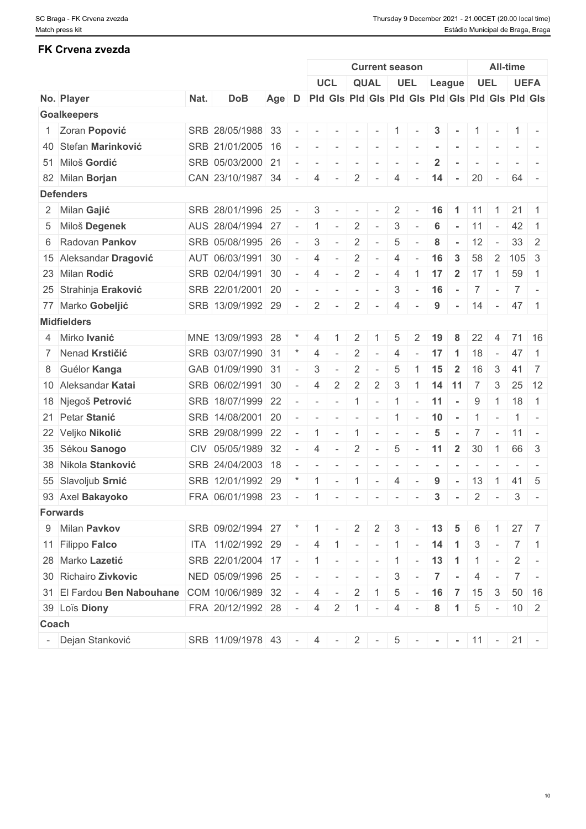# **FK Crvena zvezda**

|       |                            |      |                                                |       |            |                          | <b>Current season</b>                                                                                       |                          |                                                         |                          |                          |                    |                | <b>All-time</b>          |                |                     |                                                                                                              |  |  |
|-------|----------------------------|------|------------------------------------------------|-------|------------|--------------------------|-------------------------------------------------------------------------------------------------------------|--------------------------|---------------------------------------------------------|--------------------------|--------------------------|--------------------|----------------|--------------------------|----------------|---------------------|--------------------------------------------------------------------------------------------------------------|--|--|
|       |                            |      |                                                |       |            |                          | <b>UCL</b>                                                                                                  |                          | <b>QUAL</b>                                             |                          | UEL                      | League             |                |                          | <b>UEL</b>     |                     | <b>UEFA</b>                                                                                                  |  |  |
|       | No. Player                 | Nat. | <b>DoB</b>                                     | Age D |            |                          |                                                                                                             |                          | Pid Gis Pid Gis Pid Gis Pid Gis Pid Gis Pid Gis Pid Gis |                          |                          |                    |                |                          |                |                     |                                                                                                              |  |  |
|       | <b>Goalkeepers</b>         |      |                                                |       |            |                          |                                                                                                             |                          |                                                         |                          |                          |                    |                |                          |                |                     |                                                                                                              |  |  |
|       | 1 Zoran Popović            |      | SRB 28/05/1988 33 -                            |       |            | $\sim$                   | $\mathbf{r}$                                                                                                | $\sim$                   | $\sim$                                                  | $\vert 1 \vert$ -        |                          | 3                  |                |                          | $1 -$          | $1 -$               |                                                                                                              |  |  |
|       | 40 Stefan Marinković       |      | SRB 21/01/2005 16                              |       | $\sim$     | $\sim$                   | $\sim$                                                                                                      | $\sim$                   | $\sim$                                                  | $\sim$                   | $\sim$                   |                    |                | $\overline{\phantom{a}}$ | $\sim$         |                     |                                                                                                              |  |  |
|       | 51 Miloš Gordić            |      | SRB 05/03/2000 21                              |       | $\sim$     | $\sim$                   |                                                                                                             | $\sim$                   | $\sim$                                                  | $\overline{\phantom{a}}$ |                          | $\mathbf{2}$       |                | $\overline{\phantom{a}}$ |                |                     |                                                                                                              |  |  |
|       | 82 Milan Borjan            |      | CAN 23/10/1987 34 -                            |       |            | $\overline{4}$           | $\mathbf{r}$                                                                                                | $\overline{2}$           | $\sim$                                                  | 4                        | $\sim$                   | 14                 | $\sim$ $-$     | $20 -$                   |                | 64 -                |                                                                                                              |  |  |
|       | <b>Defenders</b>           |      |                                                |       |            |                          |                                                                                                             |                          |                                                         |                          |                          |                    |                |                          |                |                     |                                                                                                              |  |  |
|       | 2 Milan Gajić              |      | SRB 28/01/1996 25                              |       | $\sim$     | 3                        |                                                                                                             |                          |                                                         | $\overline{2}$           |                          | 16                 | $\overline{1}$ | 11                       | $\overline{1}$ | $21 \mid 1$         |                                                                                                              |  |  |
|       | 5 Miloš Degenek            |      | AUS 28/04/1994                                 | 27    | $\sim$     | $\overline{1}$           | $\overline{\phantom{a}}$                                                                                    | 2                        | $\sim$                                                  | 3                        | $\overline{\phantom{a}}$ | 6                  | $\sim$         | $11 -$                   |                | 42                  | $\overline{1}$                                                                                               |  |  |
|       | 6 Radovan Pankov           |      | SRB 05/08/1995 26                              |       | $\sim$     | 3                        |                                                                                                             | $\overline{2}$           | $\sim$                                                  | $\overline{5}$           |                          | 8                  | $\sim$         | 12                       | $\gamma = 0$   |                     | $33 \mid 2$                                                                                                  |  |  |
|       | 15 Aleksandar Dragović     |      | AUT 06/03/1991                                 | 30    | $\sim$     | 4                        | $\overline{\phantom{a}}$                                                                                    | $\overline{2}$           | $\sim$                                                  | 4                        |                          | 16                 | 3              | 58                       |                | $2 \mid 105 \mid 3$ |                                                                                                              |  |  |
|       | 23 Milan Rodić             |      | SRB 02/04/1991                                 | 30    | $\sim$     | $\overline{4}$           | $\overline{\phantom{a}}$                                                                                    | 2                        | $\sim$                                                  | 4                        | -1                       | 17                 | $\overline{2}$ | 17                       | $-1$           | 59                  | $\overline{1}$                                                                                               |  |  |
|       | 25 Strahinja Eraković      |      | SRB 22/01/2001 20                              |       | $\sim$ $-$ | $\sim$                   | $\sim$                                                                                                      | $\sim$                   | $\sim$                                                  | 3                        | $\sim$                   | $16 -$             |                | $7 -$                    |                |                     | $7$ -                                                                                                        |  |  |
|       | 77 Marko Gobeljić          |      | SRB 13/09/1992 29                              |       | $\sim$     | $2 \mid$                 | $\sim$                                                                                                      | $\overline{2}$           | $\sim$                                                  | 4                        |                          | 9                  | $\sim$         | $14 -$                   |                | 47 1                |                                                                                                              |  |  |
|       | <b>Midfielders</b>         |      |                                                |       |            |                          |                                                                                                             |                          |                                                         |                          |                          |                    |                |                          |                |                     |                                                                                                              |  |  |
|       | 4 Mirko Ivanić             |      | MNE 13/09/1993                                 | 28    |            | 4                        |                                                                                                             | 2                        |                                                         | 5                        |                          | 19                 | 8              | 22                       | $\overline{4}$ |                     | $71 \mid 16$                                                                                                 |  |  |
|       | 7 Nenad Krstičić           |      | SRB 03/07/1990 31                              |       |            | 4                        |                                                                                                             | $\overline{2}$           |                                                         | 4                        |                          | 17                 | $\overline{1}$ | 18                       | $\sim$         | 47                  | $\overline{1}$                                                                                               |  |  |
|       | 8 Guélor Kanga             |      | GAB 01/09/1990 31                              |       | $\sim$     | 3                        |                                                                                                             | $\overline{2}$           | $\overline{\phantom{a}}$                                | 5                        |                          | 15                 | $\overline{2}$ | 16                       | 3              | 41                  | 7                                                                                                            |  |  |
|       | 10 Aleksandar Katai        |      | SRB 06/02/1991 30                              |       | $\sim$     | $\overline{4}$           | $\overline{2}$                                                                                              | $\overline{2}$           | $\overline{2}$                                          | 3                        |                          | $1$ 14 11 7        |                |                          | 3              |                     | $25 \mid 12$                                                                                                 |  |  |
|       | 18 Njegoš Petrović         |      | SRB 18/07/1999 22                              |       | $\sim$     | $\sim$                   | $\sim$                                                                                                      | $\mathbf{1}$             | $\sim$                                                  | $\overline{1}$           | $\sim$                   | 11                 | $\sim$         | 9                        | $\overline{1}$ |                     | $18$ 1                                                                                                       |  |  |
|       | 21 Petar Stanić            |      | SRB 14/08/2001                                 | 20    | $\sim$     | $\sim$                   | $\sim$                                                                                                      | $\sim$                   | $\sim$                                                  | $\overline{1}$           |                          | $-10$ $-$          |                | $1 -$                    |                |                     | $1 -$                                                                                                        |  |  |
|       | 22 Veljko Nikolić          |      | SRB 29/08/1999                                 | 22    | $\sim$     | $\overline{1}$           | $\overline{\phantom{a}}$                                                                                    | $\overline{1}$           | $\sim$                                                  | $\sim$                   |                          | 5                  | $\sim$         |                          | $7 -$          | $ 11  -$            |                                                                                                              |  |  |
|       | 35 Sékou Sanogo            |      | CIV 05/05/1989 32                              |       | $\sim$     | 4                        | $\overline{\phantom{a}}$                                                                                    | $\overline{2}$           | $\sim$                                                  | $5\phantom{.0}$          |                          | $-11$              | $\overline{2}$ | 30                       | $\overline{1}$ | 66 3                |                                                                                                              |  |  |
|       | 38 Nikola Stanković        |      | SRB 24/04/2003                                 | 18    |            | $\overline{\phantom{a}}$ |                                                                                                             | $\overline{\phantom{a}}$ | $\sim$                                                  | $\overline{\phantom{a}}$ | $\overline{\phantom{a}}$ |                    |                | $\overline{\phantom{a}}$ |                |                     | $\frac{1}{2} \left( \frac{1}{2} \right) \left( \frac{1}{2} \right) = \frac{1}{2} \left( \frac{1}{2} \right)$ |  |  |
|       | 55 Slavoljub Srnić         |      | SRB 12/01/1992                                 | 29    |            | $\overline{1}$           |                                                                                                             | -1                       | $\sim$                                                  | $\overline{4}$           |                          | 9                  |                | 13                       | $\overline{1}$ | 41                  | -5                                                                                                           |  |  |
|       | 93 Axel Bakayoko           |      | FRA 06/01/1998 23                              |       | $\sim$ $-$ | $-1$                     | $\sim$                                                                                                      | $\mathbf{1}$             | $\sim$ $\sim$ $\sim$                                    |                          | $\overline{\phantom{a}}$ | $\mathbf{3}$       | $\sim$         | $\overline{2}$           | $\mathbf{r}$   | 3                   | $\sim$                                                                                                       |  |  |
|       | <b>Forwards</b>            |      |                                                |       |            |                          |                                                                                                             |                          |                                                         |                          |                          |                    |                |                          |                |                     |                                                                                                              |  |  |
|       | 9 Milan Pavkov             |      | SRB 09/02/1994 27 * 1 -                        |       |            |                          |                                                                                                             | $\mathbf{2}$             | $\overline{2}$                                          | 3                        |                          | $\vert 13 \vert 5$ |                | 6                        |                |                     | $27 \overline{7}$                                                                                            |  |  |
|       | 11 Filippo Falco           |      | ITA 11/02/1992 29 - 4 1 - - 1 - 1 - 14 1       |       |            |                          |                                                                                                             |                          |                                                         |                          |                          |                    |                |                          |                | $3 - 7$ 1           |                                                                                                              |  |  |
|       | 28 Marko Lazetić           |      | SRB 22/01/2004 17 - 1 - - - 1 - 1 - 13 1 - 1 - |       |            |                          |                                                                                                             |                          |                                                         |                          |                          |                    |                |                          |                |                     | $2$ -                                                                                                        |  |  |
|       | 30 Richairo Zivkovic       |      | NED 05/09/1996 25                              |       | $\sim$ $-$ | $\mathbf{I}$             | $\begin{array}{cccccccccc} \bullet & \bullet & \bullet & \bullet & \bullet & \bullet & \bullet \end{array}$ |                          | $\mathbf{r}$                                            | 3                        | $\sim$                   | $\overline{7}$     | $\sim$         |                          | $4 -$          | $7 -$               |                                                                                                              |  |  |
|       | 31 El Fardou Ben Nabouhane |      | COM 10/06/1989 32                              |       | $\sim$     | 4                        | $\sim$                                                                                                      | $\overline{2}$           |                                                         | 5                        | $\sim$                   | $16$ 7 15          |                |                          | $\mathbf{3}$   |                     | $50 \mid 16$                                                                                                 |  |  |
|       | 39 Loïs Diony              |      | FRA $20/12/1992$ 28 - 4 2 1                    |       |            |                          |                                                                                                             |                          |                                                         |                          |                          | 8                  | $\overline{1}$ |                          |                | $5 - 10$ 2          |                                                                                                              |  |  |
| Coach |                            |      |                                                |       |            |                          |                                                                                                             |                          | $\sim$                                                  | 4                        | $\sim$                   |                    |                |                          |                |                     |                                                                                                              |  |  |
|       |                            |      |                                                |       |            |                          |                                                                                                             |                          |                                                         |                          |                          |                    |                |                          |                |                     |                                                                                                              |  |  |
|       | - Dejan Stanković          |      | SRB $ 11/09/1978 43 - 4 - 2 - 1$               |       |            |                          |                                                                                                             |                          |                                                         |                          | $5$ - - - 11 - 21 -      |                    |                |                          |                |                     |                                                                                                              |  |  |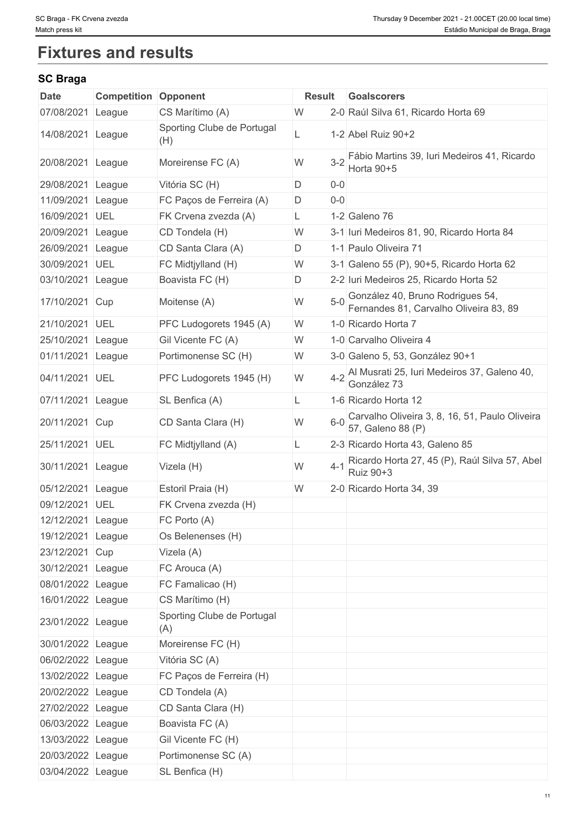# **Fixtures and results**

# **SC Braga**

| Date              | <b>Competition</b> | Opponent                          | <b>Result</b> |         | <b>Goalscorers</b>                                                         |
|-------------------|--------------------|-----------------------------------|---------------|---------|----------------------------------------------------------------------------|
| 07/08/2021        | League             | CS Marítimo (A)                   | W             |         | 2-0 Raúl Silva 61, Ricardo Horta 69                                        |
| 14/08/2021        | League             | Sporting Clube de Portugal<br>(H) |               |         | 1-2 Abel Ruiz 90+2                                                         |
| 20/08/2021        | League             | Moreirense FC (A)                 | W             |         | 3-2 Fábio Martins 39, Iuri Medeiros 41, Ricardo<br>Horta 90+5              |
| 29/08/2021        | League             | Vitória SC (H)                    | D             | $0-0$   |                                                                            |
| 11/09/2021        | League             | FC Paços de Ferreira (A)          | D             | $0-0$   |                                                                            |
| 16/09/2021        | UEL                | FK Crvena zvezda (A)              | L.            |         | 1-2 Galeno 76                                                              |
| 20/09/2021        | League             | CD Tondela (H)                    | W             |         | 3-1 Iuri Medeiros 81, 90, Ricardo Horta 84                                 |
| 26/09/2021        | League             | CD Santa Clara (A)                | D.            |         | 1-1 Paulo Oliveira 71                                                      |
| 30/09/2021        | UEL                | FC Midtjylland (H)                | W             |         | 3-1 Galeno 55 (P), 90+5, Ricardo Horta 62                                  |
| 03/10/2021        | League             | Boavista FC (H)                   | D             |         | 2-2 Iuri Medeiros 25, Ricardo Horta 52                                     |
| 17/10/2021        | Cup                | Moitense (A)                      | W             |         | González 40, Bruno Rodrigues 54,<br>Fernandes 81, Carvalho Oliveira 83, 89 |
| 21/10/2021        | UEL                | PFC Ludogorets 1945 (A)           | W             |         | 1-0 Ricardo Horta 7                                                        |
| 25/10/2021        | League             | Gil Vicente FC (A)                | W             |         | 1-0 Carvalho Oliveira 4                                                    |
| 01/11/2021        | League             | Portimonense SC (H)               | W             |         | 3-0 Galeno 5, 53, González 90+1                                            |
| 04/11/2021        | UEL                | PFC Ludogorets 1945 (H)           | W             |         | 4-2 Al Musrati 25, Iuri Medeiros 37, Galeno 40,<br>González 73             |
| 07/11/2021        | League             | SL Benfica (A)                    |               |         | 1-6 Ricardo Horta 12                                                       |
| 20/11/2021        | Cup                | CD Santa Clara (H)                | W             | $6 - 0$ | Carvalho Oliveira 3, 8, 16, 51, Paulo Oliveira<br>57, Galeno 88 (P)        |
| 25/11/2021        | UEL                | FC Midtjylland (A)                | L             |         | 2-3 Ricardo Horta 43, Galeno 85                                            |
| 30/11/2021        | League             | Vizela (H)                        | W             | $4 - 1$ | Ricardo Horta 27, 45 (P), Raúl Silva 57, Abel<br>Ruiz 90+3                 |
| 05/12/2021        | League             | Estoril Praia (H)                 | W             |         | 2-0 Ricardo Horta 34, 39                                                   |
| 09/12/2021        | UEL                | FK Crvena zvezda (H)              |               |         |                                                                            |
| 12/12/2021        | League             | FC Porto (A)                      |               |         |                                                                            |
| 19/12/2021 League |                    | Os Belenenses (H)                 |               |         |                                                                            |
| 23/12/2021 Cup    |                    | Vizela (A)                        |               |         |                                                                            |
| 30/12/2021 League |                    | FC Arouca (A)                     |               |         |                                                                            |
| 08/01/2022 League |                    | FC Famalicao (H)                  |               |         |                                                                            |
| 16/01/2022 League |                    | CS Marítimo (H)                   |               |         |                                                                            |
| 23/01/2022 League |                    | Sporting Clube de Portugal<br>(A) |               |         |                                                                            |
| 30/01/2022 League |                    | Moreirense FC (H)                 |               |         |                                                                            |
| 06/02/2022 League |                    | Vitória SC (A)                    |               |         |                                                                            |
| 13/02/2022 League |                    | FC Paços de Ferreira (H)          |               |         |                                                                            |
| 20/02/2022 League |                    | CD Tondela (A)                    |               |         |                                                                            |
| 27/02/2022 League |                    | CD Santa Clara (H)                |               |         |                                                                            |
| 06/03/2022 League |                    | Boavista FC (A)                   |               |         |                                                                            |
| 13/03/2022 League |                    | Gil Vicente FC (H)                |               |         |                                                                            |
| 20/03/2022 League |                    | Portimonense SC (A)               |               |         |                                                                            |
| 03/04/2022 League |                    | SL Benfica (H)                    |               |         |                                                                            |
|                   |                    |                                   |               |         |                                                                            |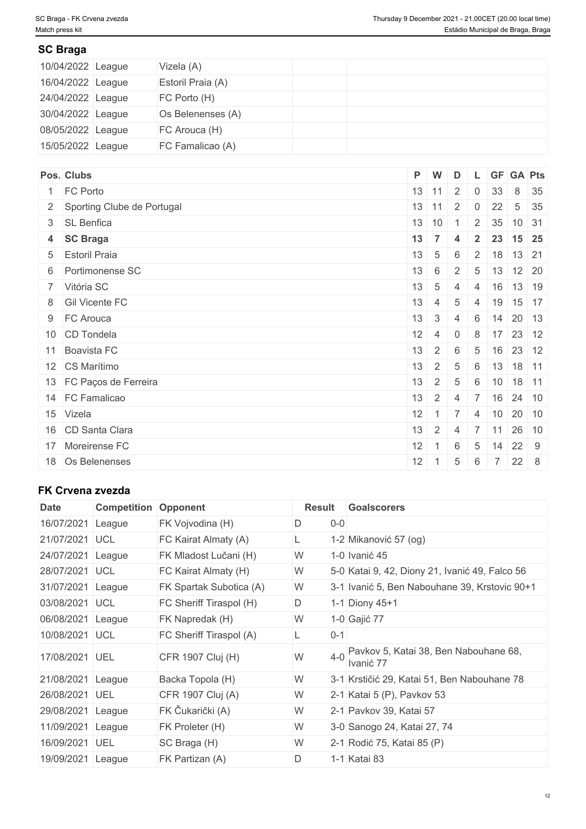# **SC Braga**

| 10/04/2022 League | Vizela (A)        |  |
|-------------------|-------------------|--|
| 16/04/2022 League | Estoril Praia (A) |  |
| 24/04/2022 League | FC Porto (H)      |  |
| 30/04/2022 League | Os Belenenses (A) |  |
| 08/05/2022 League | FC Arouca (H)     |  |
| 15/05/2022 League | FC Famalicao (A)  |  |

| Pos. Clubs                   |    | P W                 | D                  |                 |                  | L GF GA Pts                 |              |
|------------------------------|----|---------------------|--------------------|-----------------|------------------|-----------------------------|--------------|
| 1 FC Porto                   |    | $13 \mid 11 \mid 2$ |                    | $\overline{0}$  | 33               |                             | 8 35         |
| 2 Sporting Clube de Portugal |    | $13 \mid 11 \mid 2$ |                    | $\overline{0}$  | 22               |                             | $5 \quad 35$ |
| 3 SL Benfica                 |    | $13 \mid 10$        |                    | $\overline{2}$  | 35               | 10 31                       |              |
| 4 SC Braga                   | 13 | $\overline{7}$      | $\overline{\bf 4}$ | $\overline{2}$  |                  | 23 15 25                    |              |
| 5 Estoril Praia              | 13 | $5\overline{5}$     | 6                  |                 |                  | $2 \mid 18 \mid 13 \mid 21$ |              |
| 6 Portimonense SC            | 13 | 6                   | $2^{\circ}$        |                 |                  | $5 \mid 13 \mid 12 \mid 20$ |              |
| 7 Vitória SC                 | 13 | $5\overline{)}$     | $\overline{4}$     | $\overline{4}$  |                  | $16$ 13 19                  |              |
| 8 Gil Vicente FC             | 13 | 4                   | 5                  | $\overline{4}$  |                  | 19 15 17                    |              |
| 9 FC Arouca                  | 13 | $\mathbf{3}$        | 4                  | 6               |                  | $14$ 20 13                  |              |
| 10 CD Tondela                | 12 | $\overline{4}$      | $\overline{0}$     | 8               |                  | 17 23 12                    |              |
| 11 Boavista FC               | 13 | $2^{\circ}$         | 6                  | $5\phantom{.0}$ | 16               | 23 12                       |              |
| 12 CS Marítimo               | 13 | 2 <sup>1</sup>      | $\overline{5}$     | 6               | 13               | 18 11                       |              |
| 13 FC Paços de Ferreira      | 13 | $\overline{2}$      | 5                  | 6               | 10               | 18 11                       |              |
| 14 FC Famalicao              | 13 | $2 \quad$           | $\overline{4}$     | $\overline{7}$  |                  | $16$ 24 10                  |              |
| 15 Vizela                    | 12 | $1 \mid 7$          |                    | 4               | $ 10\rangle$     | 20 10                       |              |
| 16 CD Santa Clara            | 13 | 2 <sup>1</sup>      | $\overline{4}$     |                 | $7 \mid 11 \mid$ | 26 10                       |              |
| 17 Moreirense FC             | 12 |                     | 6                  | $5\overline{)}$ | 14               | 22 9                        |              |
| 18 Os Belenenses             | 12 |                     | 5                  | 6               | $\overline{7}$   | $22 \quad 8$                |              |

# **FK Crvena zvezda**

| Date              | <b>Competition</b> | Opponent                | Result        | <b>Goalscorers</b>                                 |
|-------------------|--------------------|-------------------------|---------------|----------------------------------------------------|
| 16/07/2021        | League             | FK Vojvodina (H)        | $0-0$<br>D    |                                                    |
| 21/07/2021        | <b>IUCL</b>        | FC Kairat Almaty (A)    | Ц.            | 1-2 Mikanović 57 (og)                              |
| 24/07/2021        | League             | FK Mladost Lučani (H)   | W             | 1-0 Ivanić 45                                      |
| 28/07/2021        | <b>UCL</b>         | FC Kairat Almaty (H)    | W             | 5-0 Katai 9, 42, Diony 21, Ivanić 49, Falco 56     |
| 31/07/2021        | League             | FK Spartak Subotica (A) | W             | 3-1 Ivanić 5, Ben Nabouhane 39, Krstovic 90+1      |
| 03/08/2021        | <b>UCL</b>         | FC Sheriff Tiraspol (H) | D             | 1-1 Diony 45+1                                     |
| 06/08/2021        | League             | FK Napredak (H)         | W             | 1-0 Gajić 77                                       |
| 10/08/2021        | <b>UCL</b>         | FC Sheriff Tiraspol (A) | $0 - 1$<br>L. |                                                    |
| 17/08/2021        | <b>UEL</b>         | CFR 1907 Cluj (H)       | W<br>$4 - 0$  | Pavkov 5, Katai 38, Ben Nabouhane 68,<br>Ivanić 77 |
| 21/08/2021 League |                    | Backa Topola (H)        | W             | 3-1 Krstičić 29, Katai 51, Ben Nabouhane 78        |
| 26/08/2021        | UEL                | CFR 1907 Cluj (A)       | W             | 2-1 Katai 5 (P), Pavkov 53                         |
| 29/08/2021        | League             | FK Čukarički (A)        | W             | 2-1 Pavkov 39, Katai 57                            |
| 11/09/2021        | League             | FK Proleter (H)         | W             | 3-0 Sanogo 24, Katai 27, 74                        |
| 16/09/2021        | UEL                | SC Braga (H)            | W             | 2-1 Rodić 75, Katai 85 (P)                         |
| 19/09/2021        | League             | FK Partizan (A)         | $\mathsf D$   | 1-1 Katai 83                                       |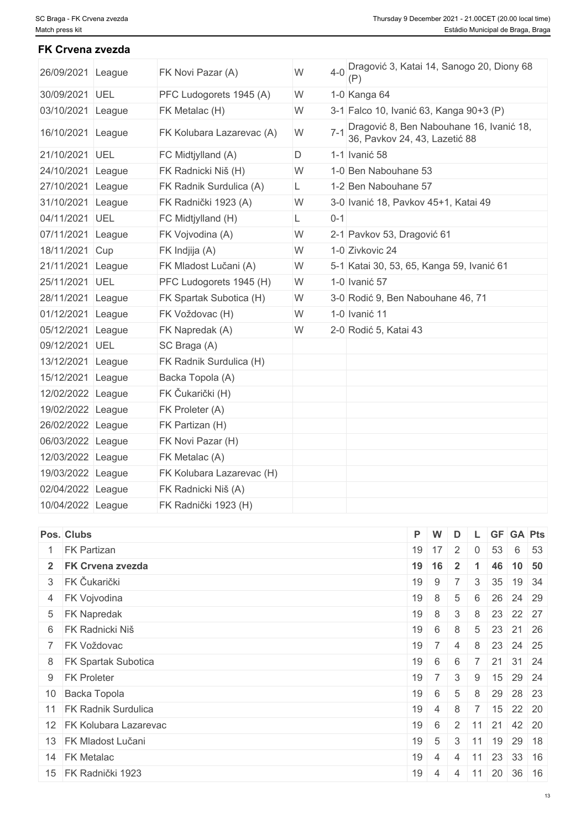**FK Crvena zvezda**

| 26/09/2021 League |        | FK Novi Pazar (A)         | W | $4 - 0$ | Dragović 3, Katai 14, Sanogo 20, Diony 68                                 |
|-------------------|--------|---------------------------|---|---------|---------------------------------------------------------------------------|
| 30/09/2021 UEL    |        | PFC Ludogorets 1945 (A)   | W |         | 1-0 Kanga 64                                                              |
| 03/10/2021        | League | FK Metalac (H)            | W |         | 3-1 Falco 10, Ivanić 63, Kanga 90+3 (P)                                   |
| 16/10/2021 League |        | FK Kolubara Lazarevac (A) | W | $7 - 1$ | Dragović 8, Ben Nabouhane 16, Ivanić 18,<br>36, Pavkov 24, 43, Lazetić 88 |
| 21/10/2021 UEL    |        | FC Midtjylland (A)        | D |         | 1-1 Ivanić 58                                                             |
| 24/10/2021        | League | FK Radnicki Niš (H)       | W |         | 1-0 Ben Nabouhane 53                                                      |
| 27/10/2021 League |        | FK Radnik Surdulica (A)   | L |         | 1-2 Ben Nabouhane 57                                                      |
| 31/10/2021 League |        | FK Radnički 1923 (A)      | W |         | 3-0 Ivanić 18, Pavkov 45+1, Katai 49                                      |
| 04/11/2021 UEL    |        | FC Midtjylland (H)        | L | $0 - 1$ |                                                                           |
| 07/11/2021 League |        | FK Vojvodina (A)          | W |         | 2-1 Pavkov 53, Dragović 61                                                |
| 18/11/2021 Cup    |        | FK Indjija (A)            | W |         | 1-0 Zivkovic 24                                                           |
| 21/11/2021 League |        | FK Mladost Lučani (A)     | W |         | 5-1 Katai 30, 53, 65, Kanga 59, Ivanić 61                                 |
| 25/11/2021 UEL    |        | PFC Ludogorets 1945 (H)   | W |         | 1-0 Ivanić 57                                                             |
| 28/11/2021        | League | FK Spartak Subotica (H)   | W |         | 3-0 Rodić 9, Ben Nabouhane 46, 71                                         |
| 01/12/2021 League |        | FK Voždovac (H)           | W |         | 1-0 Ivanić 11                                                             |
| 05/12/2021 League |        | FK Napredak (A)           | W |         | 2-0 Rodić 5, Katai 43                                                     |
| 09/12/2021 UEL    |        | SC Braga (A)              |   |         |                                                                           |
| 13/12/2021 League |        | FK Radnik Surdulica (H)   |   |         |                                                                           |
| 15/12/2021 League |        | Backa Topola (A)          |   |         |                                                                           |
| 12/02/2022 League |        | FK Čukarički (H)          |   |         |                                                                           |
| 19/02/2022 League |        | FK Proleter (A)           |   |         |                                                                           |
| 26/02/2022 League |        | FK Partizan (H)           |   |         |                                                                           |
| 06/03/2022 League |        | FK Novi Pazar (H)         |   |         |                                                                           |
| 12/03/2022 League |        | FK Metalac (A)            |   |         |                                                                           |
| 19/03/2022 League |        | FK Kolubara Lazarevac (H) |   |         |                                                                           |
| 02/04/2022 League |        | FK Radnicki Niš (A)       |   |         |                                                                           |
| 10/04/2022 League |        | FK Radnički 1923 (H)      |   |         |                                                                           |

| Pos. Clubs               | P W |                                            | D              |                |    |                                    | L GF GA Pts |
|--------------------------|-----|--------------------------------------------|----------------|----------------|----|------------------------------------|-------------|
| <b>FK Partizan</b>       |     | $19$ 17 2                                  |                | $\overline{0}$ | 53 |                                    | 6 53        |
| 2 FK Crvena zvezda       |     | 19 16                                      | $\vert$ 2      |                |    |                                    | 46 10 50    |
| 3 FK Čukarički           | 19  | $9 \mid 7 \mid$                            |                |                |    | $3 \mid 35 \mid 19 \mid 34$        |             |
| 4 FK Vojvodina           | 19  | $+8$ +                                     | 5              | $-6$           |    | 26 24 29                           |             |
| 5 FK Napredak            | 19  | 8                                          | 3              |                |    | 8 23 22 27                         |             |
| 6 FK Radnicki Niš        | 19  | 6 <sup>1</sup>                             | 8              |                |    | 5 23 21 26                         |             |
| 7 FK Voždovac            | 19  | 7 <sup>1</sup>                             | $\overline{4}$ | 8              |    | 23 24 25                           |             |
| 8   FK Spartak Subotica  | 19  | $6 \mid 6$                                 |                | $\overline{7}$ |    | 21 31 24                           |             |
| 9 FK Proleter            | 19  | 7 <sup>1</sup>                             |                |                |    | $3 \mid 9 \mid 15 \mid 29 \mid 24$ |             |
| 10 Backa Topola          | 19  | $\frac{1}{6}$                              | 5              | $+8$           |    | 29 28 23                           |             |
| 11 FK Radnik Surdulica   | 19  | $\sim$ 4                                   | 8              |                |    | 7   15   22   20                   |             |
| 12 FK Kolubara Lazarevac | 19  | 6                                          | $2 \mid 11$    |                |    | 21 42 20                           |             |
| 13 FK Mladost Lučani     | 19  | $5 \mid 3 \mid 11 \mid 19 \mid 29 \mid 18$ |                |                |    |                                    |             |
| 14 FK Metalac            | 19  | $\overline{4}$                             | $\overline{4}$ | 11             |    | 23 33 16                           |             |
| 15 FK Radnički 1923      | 19  | $\pm$ 4 $\pm$                              | -4             |                |    | $11$ 20 36 16                      |             |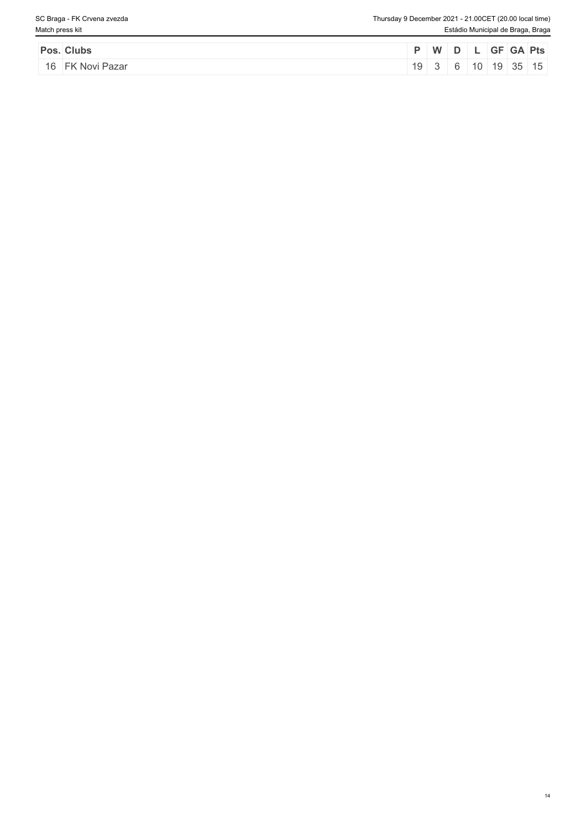| Pos. Clubs       |    | WD <sup>1</sup> |  | GF GA Pts                   |  |
|------------------|----|-----------------|--|-----------------------------|--|
| 16 FK Novi Pazar | 19 |                 |  | े │ 6 │ 10 │ 19 │ 35 │ 15 ∣ |  |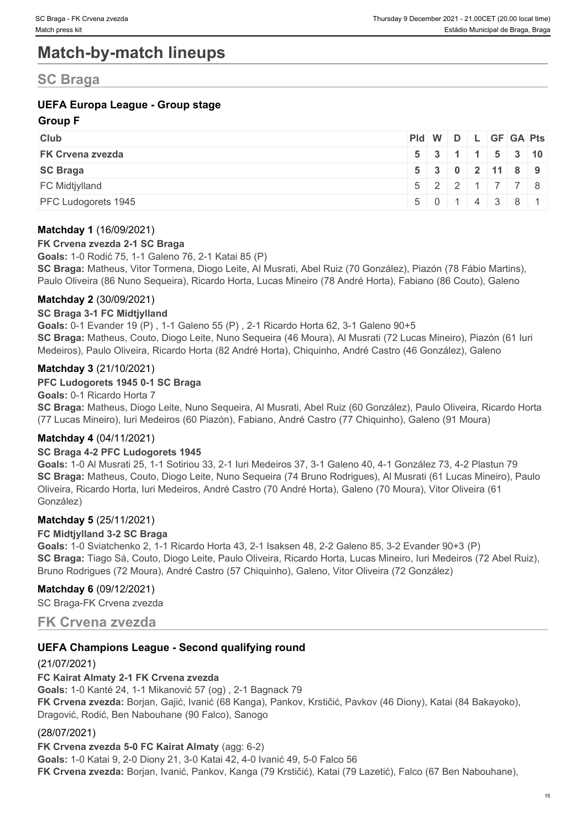# **Match-by-match lineups**

# **SC Braga**

# **UEFA Europa League - Group stage**

## **Group F**

| <b>Club</b>             | Pid W D L GF GA Pts |  |  |                             |  |
|-------------------------|---------------------|--|--|-----------------------------|--|
| <b>FK Crvena zvezda</b> |                     |  |  | 5 3 1 1 5 3 10              |  |
| <b>SC Braga</b>         |                     |  |  | 5 3 0 2 11 8 9              |  |
| <b>FC Midtjylland</b>   |                     |  |  | $5$   2   2   1   7   7   8 |  |
| PFC Ludogorets 1945     |                     |  |  | 5 0 1 4 3 8 1               |  |

### **Matchday 1** (16/09/2021)

#### **FK Crvena zvezda 2-1 SC Braga**

**Goals:** 1-0 Rodić 75, 1-1 Galeno 76, 2-1 Katai 85 (P) **SC Braga:** Matheus, Vitor Tormena, Diogo Leite, Al Musrati, Abel Ruiz (70 González), Piazón (78 Fábio Martins), Paulo Oliveira (86 Nuno Sequeira), Ricardo Horta, Lucas Mineiro (78 André Horta), Fabiano (86 Couto), Galeno

### **Matchday 2** (30/09/2021)

#### **SC Braga 3-1 FC Midtjylland**

**Goals:** 0-1 Evander 19 (P) , 1-1 Galeno 55 (P) , 2-1 Ricardo Horta 62, 3-1 Galeno 90+5 **SC Braga:** Matheus, Couto, Diogo Leite, Nuno Sequeira (46 Moura), Al Musrati (72 Lucas Mineiro), Piazón (61 Iuri Medeiros), Paulo Oliveira, Ricardo Horta (82 André Horta), Chiquinho, André Castro (46 González), Galeno

### **Matchday 3** (21/10/2021)

#### **PFC Ludogorets 1945 0-1 SC Braga**

**Goals:** 0-1 Ricardo Horta 7 **SC Braga:** Matheus, Diogo Leite, Nuno Sequeira, Al Musrati, Abel Ruiz (60 González), Paulo Oliveira, Ricardo Horta (77 Lucas Mineiro), Iuri Medeiros (60 Piazón), Fabiano, André Castro (77 Chiquinho), Galeno (91 Moura)

# **Matchday 4** (04/11/2021)

#### **SC Braga 4-2 PFC Ludogorets 1945**

**Goals:** 1-0 Al Musrati 25, 1-1 Sotiriou 33, 2-1 Iuri Medeiros 37, 3-1 Galeno 40, 4-1 González 73, 4-2 Plastun 79 **SC Braga:** Matheus, Couto, Diogo Leite, Nuno Sequeira (74 Bruno Rodrigues), Al Musrati (61 Lucas Mineiro), Paulo Oliveira, Ricardo Horta, Iuri Medeiros, André Castro (70 André Horta), Galeno (70 Moura), Vitor Oliveira (61 González)

#### **Matchday 5** (25/11/2021)

#### **FC Midtjylland 3-2 SC Braga**

**Goals:** 1-0 Sviatchenko 2, 1-1 Ricardo Horta 43, 2-1 Isaksen 48, 2-2 Galeno 85, 3-2 Evander 90+3 (P) **SC Braga:** Tiago Sá, Couto, Diogo Leite, Paulo Oliveira, Ricardo Horta, Lucas Mineiro, Iuri Medeiros (72 Abel Ruiz), Bruno Rodrigues (72 Moura), André Castro (57 Chiquinho), Galeno, Vitor Oliveira (72 González)

#### **Matchday 6** (09/12/2021)

SC Braga-FK Crvena zvezda

# **FK Crvena zvezda**

# **UEFA Champions League - Second qualifying round**

# (21/07/2021)

#### **FC Kairat Almaty 2-1 FK Crvena zvezda**

**Goals:** 1-0 Kanté 24, 1-1 Mikanović 57 (og) , 2-1 Bagnack 79 **FK Crvena zvezda:** Borjan, Gajić, Ivanić (68 Kanga), Pankov, Krstičić, Pavkov (46 Diony), Katai (84 Bakayoko), Dragović, Rodić, Ben Nabouhane (90 Falco), Sanogo

#### (28/07/2021)

**FK Crvena zvezda 5-0 FC Kairat Almaty** (agg: 6-2) **Goals:** 1-0 Katai 9, 2-0 Diony 21, 3-0 Katai 42, 4-0 Ivanić 49, 5-0 Falco 56 **FK Crvena zvezda:** Borjan, Ivanić, Pankov, Kanga (79 Krstičić), Katai (79 Lazetić), Falco (67 Ben Nabouhane),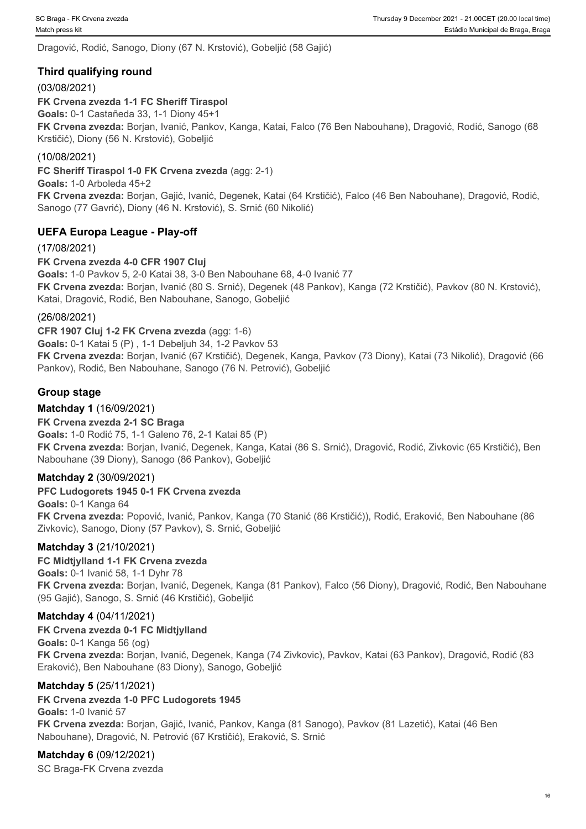Dragović, Rodić, Sanogo, Diony (67 N. Krstović), Gobeljić (58 Gajić)

# **Third qualifying round**

# (03/08/2021)

**FK Crvena zvezda 1-1 FC Sheriff Tiraspol Goals:** 0-1 Castañeda 33, 1-1 Diony 45+1 **FK Crvena zvezda:** Borjan, Ivanić, Pankov, Kanga, Katai, Falco (76 Ben Nabouhane), Dragović, Rodić, Sanogo (68 Krstičić), Diony (56 N. Krstović), Gobeljić

## (10/08/2021)

**FC Sheriff Tiraspol 1-0 FK Crvena zvezda** (agg: 2-1)

**Goals:** 1-0 Arboleda 45+2

**FK Crvena zvezda:** Borjan, Gajić, Ivanić, Degenek, Katai (64 Krstičić), Falco (46 Ben Nabouhane), Dragović, Rodić, Sanogo (77 Gavrić), Diony (46 N. Krstović), S. Srnić (60 Nikolić)

# **UEFA Europa League - Play-off**

(17/08/2021)

**FK Crvena zvezda 4-0 CFR 1907 Cluj**

**Goals:** 1-0 Pavkov 5, 2-0 Katai 38, 3-0 Ben Nabouhane 68, 4-0 Ivanić 77 **FK Crvena zvezda:** Borjan, Ivanić (80 S. Srnić), Degenek (48 Pankov), Kanga (72 Krstičić), Pavkov (80 N. Krstović), Katai, Dragović, Rodić, Ben Nabouhane, Sanogo, Gobeljić

### (26/08/2021)

**CFR 1907 Cluj 1-2 FK Crvena zvezda** (agg: 1-6)

**Goals:** 0-1 Katai 5 (P) , 1-1 Debeljuh 34, 1-2 Pavkov 53

**FK Crvena zvezda:** Borjan, Ivanić (67 Krstičić), Degenek, Kanga, Pavkov (73 Diony), Katai (73 Nikolić), Dragović (66 Pankov), Rodić, Ben Nabouhane, Sanogo (76 N. Petrović), Gobeljić

# **Group stage**

# **Matchday 1** (16/09/2021)

# **FK Crvena zvezda 2-1 SC Braga**

**Goals:** 1-0 Rodić 75, 1-1 Galeno 76, 2-1 Katai 85 (P) **FK Crvena zvezda:** Borjan, Ivanić, Degenek, Kanga, Katai (86 S. Srnić), Dragović, Rodić, Zivkovic (65 Krstičić), Ben Nabouhane (39 Diony), Sanogo (86 Pankov), Gobeljić

# **Matchday 2** (30/09/2021)

#### **PFC Ludogorets 1945 0-1 FK Crvena zvezda**

**Goals:** 0-1 Kanga 64 **FK Crvena zvezda:** Popović, Ivanić, Pankov, Kanga (70 Stanić (86 Krstičić)), Rodić, Eraković, Ben Nabouhane (86 Zivkovic), Sanogo, Diony (57 Pavkov), S. Srnić, Gobeljić

# **Matchday 3** (21/10/2021)

#### **FC Midtjylland 1-1 FK Crvena zvezda**

**Goals:** 0-1 Ivanić 58, 1-1 Dyhr 78 **FK Crvena zvezda:** Borjan, Ivanić, Degenek, Kanga (81 Pankov), Falco (56 Diony), Dragović, Rodić, Ben Nabouhane (95 Gajić), Sanogo, S. Srnić (46 Krstičić), Gobeljić

# **Matchday 4** (04/11/2021)

# **FK Crvena zvezda 0-1 FC Midtjylland**

**Goals:** 0-1 Kanga 56 (og) **FK Crvena zvezda:** Borjan, Ivanić, Degenek, Kanga (74 Zivkovic), Pavkov, Katai (63 Pankov), Dragović, Rodić (83 Eraković), Ben Nabouhane (83 Diony), Sanogo, Gobeljić

#### **Matchday 5** (25/11/2021)

# **FK Crvena zvezda 1-0 PFC Ludogorets 1945**

**Goals:** 1-0 Ivanić 57 **FK Crvena zvezda:** Borjan, Gajić, Ivanić, Pankov, Kanga (81 Sanogo), Pavkov (81 Lazetić), Katai (46 Ben Nabouhane), Dragović, N. Petrović (67 Krstičić), Eraković, S. Srnić

# **Matchday 6** (09/12/2021)

SC Braga-FK Crvena zvezda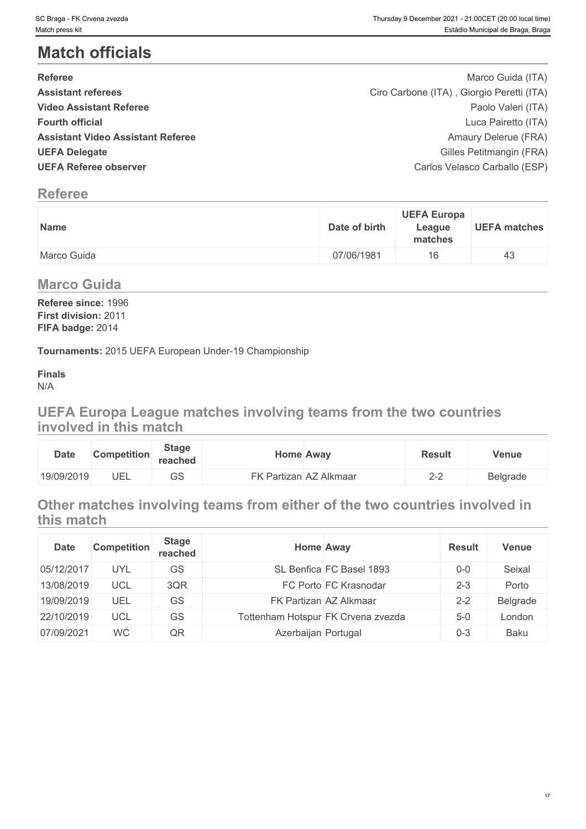# **Match officials**

| <b>Referee</b>                           | Marco Guida (ITA)                         |  |
|------------------------------------------|-------------------------------------------|--|
| <b>Assistant referees</b>                | Ciro Carbone (ITA), Giorgio Peretti (ITA) |  |
| <b>Video Assistant Referee</b>           | Paolo Valeri (ITA)                        |  |
| <b>Fourth official</b>                   | Luca Pairetto (ITA)                       |  |
| <b>Assistant Video Assistant Referee</b> | Amaury Delerue (FRA)                      |  |
| <b>UEFA Delegate</b>                     | Gilles Petitmangin (FRA)                  |  |
| <b>UEFA Referee observer</b>             | Carlos Velasco Carballo (ESP)             |  |

# **Referee**

| <b>Name</b> | <b>UEFA Europa</b><br>Date of birth<br>League<br>matches |
|-------------|----------------------------------------------------------|
| Marco Guida | 07/06/1981<br>16                                         |

# **Marco Guida**

**Referee since:** 1996 **First division:** 2011 **FIFA badge:** 2014

**Tournaments:** 2015 UEFA European Under-19 Championship

#### **Finals** N/A

# **UEFA Europa League matches involving teams from the two countries involved in this match**

| <b>Date</b> | <b>Competition</b> | <b>Stage</b><br>reached | Home Away              | <b>Result</b>             | <b>Venue</b> |
|-------------|--------------------|-------------------------|------------------------|---------------------------|--------------|
| 19/09/2019  | UEL                | $\cap$<br>دى            | FK Partizan AZ Alkmaar | $\cap$ $\cap$<br>z<br>_ _ | Belgrade     |

# **Other matches involving teams from either of the two countries involved in this match**

| <b>Date</b> | <b>Competition</b> | <b>Stage</b><br>reached | <b>Home Away</b>    |                                    | <b>Result</b> | <b>Venue</b> |
|-------------|--------------------|-------------------------|---------------------|------------------------------------|---------------|--------------|
| 05/12/2017  | <b>UYL</b>         | GS                      |                     | SL Benfica FC Basel 1893           | $0 - 0$       | Seixal       |
| 13/08/2019  | UCL                | 3QR                     |                     | FC Porto FC Krasnodar              | $2 - 3$       | Porto        |
| 19/09/2019  | UEL                | GS                      |                     | FK Partizan AZ Alkmaar             | $2 - 2$       | Belgrade     |
| 22/10/2019  | UCL                | GS                      |                     | Tottenham Hotspur FK Crvena zvezda | $5 - 0$       | London       |
| 07/09/2021  | <b>WC</b>          | QR                      | Azerbaijan Portugal |                                    | $0 - 3$       | Baku         |